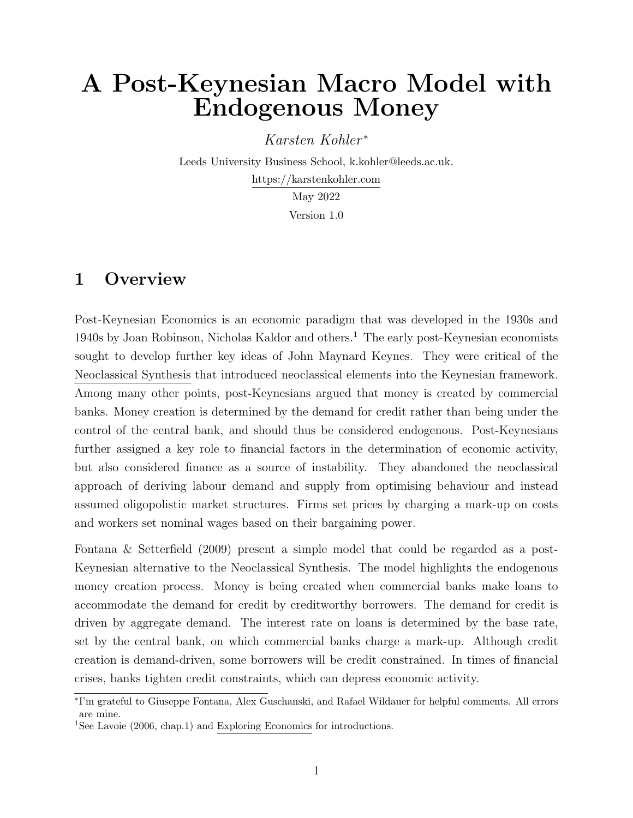# <span id="page-0-0"></span>A Post-Keynesian Macro Model with Endogenous Money

Karsten Kohler<sup>\*</sup>

Leeds University Business School, k.kohler@leeds.ac.uk. <https://karstenkohler.com> May 2022

Version 1.0

## 1 Overview

Post-Keynesian Economics is an economic paradigm that was developed in the 1930s and 1940s by Joan Robinson, Nicholas Kaldor and others.<sup>1</sup> The early post-Keynesian economists sought to develop further key ideas of John Maynard Keynes. They were critical of the [Neoclassical Synthesis](https://karstenkohlercom.files.wordpress.com/2022/04/neoclassical-synthesis-model-1.pdf) that introduced neoclassical elements into the Keynesian framework. Among many other points, post-Keynesians argued that money is created by commercial banks. Money creation is determined by the demand for credit rather than being under the control of the central bank, and should thus be considered endogenous. Post-Keynesians further assigned a key role to financial factors in the determination of economic activity, but also considered finance as a source of instability. They abandoned the neoclassical approach of deriving labour demand and supply from optimising behaviour and instead assumed oligopolistic market structures. Firms set prices by charging a mark-up on costs and workers set nominal wages based on their bargaining power.

[Fontana & Setterfield](#page-12-0) [\(2009\)](#page-12-0) present a simple model that could be regarded as a post-Keynesian alternative to the Neoclassical Synthesis. The model highlights the endogenous money creation process. Money is being created when commercial banks make loans to accommodate the demand for credit by creditworthy borrowers. The demand for credit is driven by aggregate demand. The interest rate on loans is determined by the base rate, set by the central bank, on which commercial banks charge a mark-up. Although credit creation is demand-driven, some borrowers will be credit constrained. In times of financial crises, banks tighten credit constraints, which can depress economic activity.

<sup>∗</sup> I'm grateful to Giuseppe Fontana, Alex Guschanski, and Rafael Wildauer for helpful comments. All errors are mine.

<sup>&</sup>lt;sup>1</sup>See [Lavoie](#page-12-1) [\(2006,](#page-12-1) chap.1) and [Exploring Economics](https://www.exploring-economics.org/en/orientation/post-keynesian-economics/) for introductions.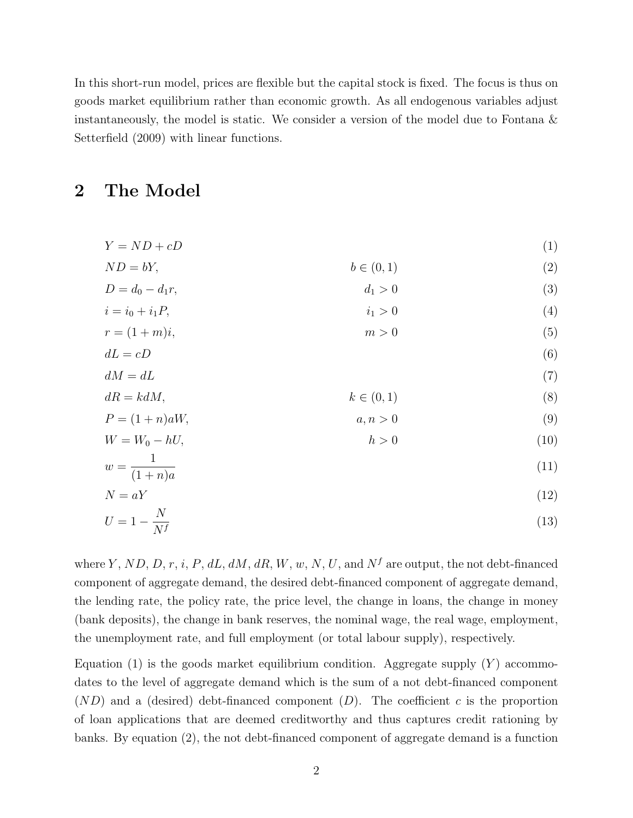In this short-run model, prices are flexible but the capital stock is fixed. The focus is thus on goods market equilibrium rather than economic growth. As all endogenous variables adjust instantaneously, the model is static. We consider a version of the model due to [Fontana &](#page-12-0) [Setterfield](#page-12-0) [\(2009\)](#page-12-0) with linear functions.

## 2 The Model

<span id="page-1-0"></span>
$$
Y = ND + cD \tag{1}
$$

<span id="page-1-2"></span><span id="page-1-1"></span>
$$
ND = bY,
$$
  
\n
$$
D = d_0 - d_1 r,
$$
  
\n
$$
b \in (0, 1)
$$
  
\n
$$
d_1 > 0
$$
  
\n(2)

<span id="page-1-4"></span><span id="page-1-3"></span>
$$
i = i_0 + i_1 P, \t\t i_1 > 0 \t\t(4)
$$

$$
r = (1+m)i,\t\t m > 0 \t\t(5)
$$

<span id="page-1-6"></span><span id="page-1-5"></span>
$$
dL = cD \tag{6}
$$

<span id="page-1-7"></span>
$$
dM = dL \tag{7}
$$

<span id="page-1-9"></span><span id="page-1-8"></span>
$$
dR = kdM, \qquad k \in (0,1) \tag{8}
$$

$$
P = (1+n)aW,
$$
  
\n
$$
W = W_0 - hU,
$$
  
\n
$$
m > 0
$$
  
\n
$$
h > 0
$$
\n
$$
(9)
$$
  
\n
$$
h > 0
$$

<span id="page-1-10"></span>
$$
w = \frac{1}{(1+n)a} \tag{11}
$$

$$
N = aY \tag{12}
$$

<span id="page-1-12"></span><span id="page-1-11"></span>
$$
U = 1 - \frac{N}{N^f} \tag{13}
$$

where Y, ND, D, r, i, P, dL, dM, dR, W, w, N, U, and  $N^f$  are output, the not debt-financed component of aggregate demand, the desired debt-financed component of aggregate demand, the lending rate, the policy rate, the price level, the change in loans, the change in money (bank deposits), the change in bank reserves, the nominal wage, the real wage, employment, the unemployment rate, and full employment (or total labour supply), respectively.

Equation [\(1\)](#page-1-0) is the goods market equilibrium condition. Aggregate supply  $(Y)$  accommodates to the level of aggregate demand which is the sum of a not debt-financed component  $(ND)$  and a (desired) debt-financed component  $(D)$ . The coefficient c is the proportion of loan applications that are deemed creditworthy and thus captures credit rationing by banks. By equation [\(2\)](#page-1-1), the not debt-financed component of aggregate demand is a function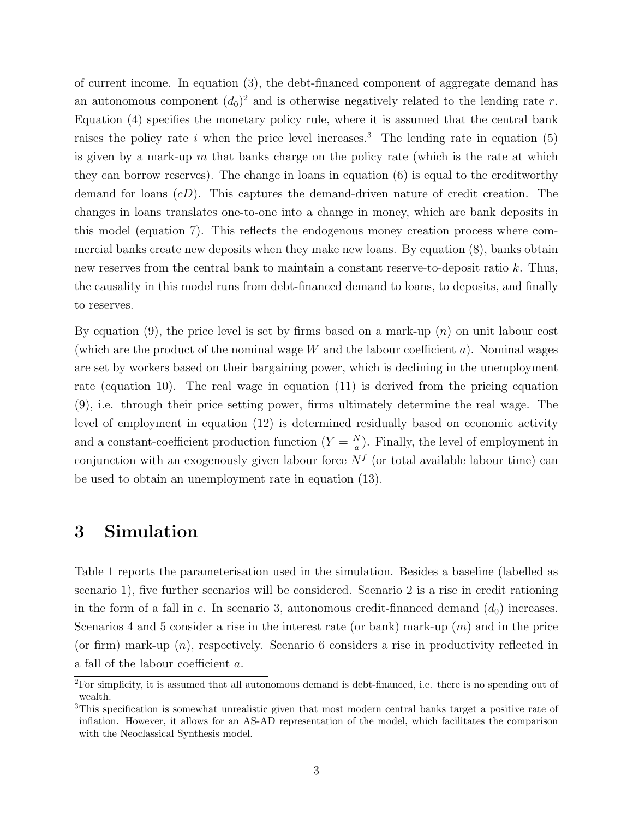of current income. In equation [\(3\)](#page-1-2), the debt-financed component of aggregate demand has an autonomous component  $(d_0)^2$  $(d_0)^2$  and is otherwise negatively related to the lending rate r. Equation [\(4\)](#page-1-3) specifies the monetary policy rule, where it is assumed that the central bank raises the policy rate i when the price level increases.<sup>[3](#page-0-0)</sup> The lending rate in equation [\(5\)](#page-1-4) is given by a mark-up  $m$  that banks charge on the policy rate (which is the rate at which they can borrow reserves). The change in loans in equation [\(6\)](#page-1-5) is equal to the creditworthy demand for loans  $(cD)$ . This captures the demand-driven nature of credit creation. The changes in loans translates one-to-one into a change in money, which are bank deposits in this model (equation [7\)](#page-1-6). This reflects the endogenous money creation process where commercial banks create new deposits when they make new loans. By equation [\(8\)](#page-1-7), banks obtain new reserves from the central bank to maintain a constant reserve-to-deposit ratio k. Thus, the causality in this model runs from debt-financed demand to loans, to deposits, and finally to reserves.

By equation [\(9\)](#page-1-8), the price level is set by firms based on a mark-up  $(n)$  on unit labour cost (which are the product of the nominal wage  $W$  and the labour coefficient  $a$ ). Nominal wages are set by workers based on their bargaining power, which is declining in the unemployment rate (equation [10\)](#page-1-9). The real wage in equation [\(11\)](#page-1-10) is derived from the pricing equation [\(9\)](#page-1-8), i.e. through their price setting power, firms ultimately determine the real wage. The level of employment in equation [\(12\)](#page-1-11) is determined residually based on economic activity and a constant-coefficient production function  $(Y = \frac{N}{a})$  $\frac{N}{a}$ ). Finally, the level of employment in conjunction with an exogenously given labour force  $N<sup>f</sup>$  (or total available labour time) can be used to obtain an unemployment rate in equation [\(13\)](#page-1-12).

### 3 Simulation

Table [1](#page-3-0) reports the parameterisation used in the simulation. Besides a baseline (labelled as scenario 1), five further scenarios will be considered. Scenario 2 is a rise in credit rationing in the form of a fall in c. In scenario 3, autonomous credit-financed demand  $(d_0)$  increases. Scenarios 4 and 5 consider a rise in the interest rate (or bank) mark-up  $(m)$  and in the price (or firm) mark-up  $(n)$ , respectively. Scenario 6 considers a rise in productivity reflected in a fall of the labour coefficient a.

<sup>2</sup>For simplicity, it is assumed that all autonomous demand is debt-financed, i.e. there is no spending out of wealth.

<sup>3</sup>This specification is somewhat unrealistic given that most modern central banks target a positive rate of inflation. However, it allows for an AS-AD representation of the model, which facilitates the comparison with the [Neoclassical Synthesis model.](https://karstenkohlercom.files.wordpress.com/2022/04/neoclassical-synthesis-model-1.pdf)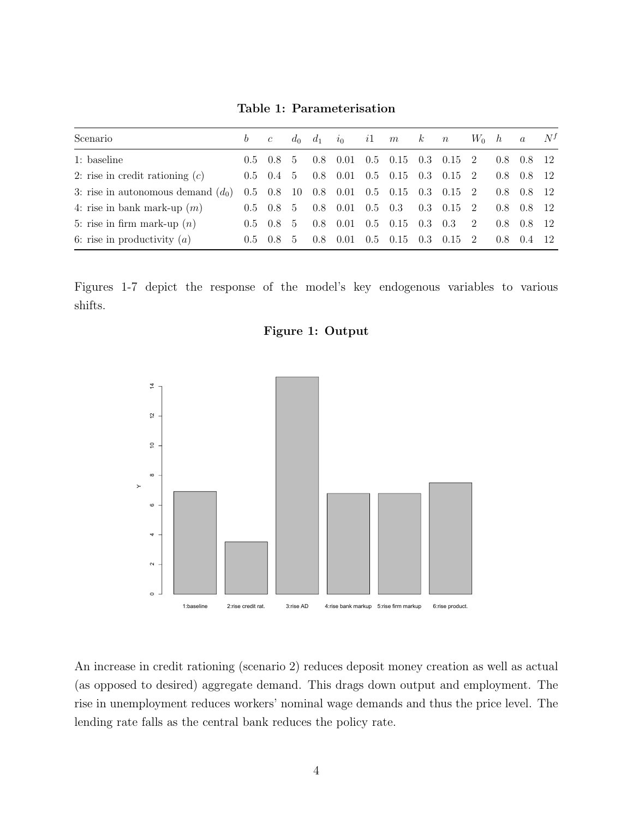Table 1: Parameterisation

<span id="page-3-0"></span>

| Scenario                             | $b \quad c$ |                          |               | $d_0$ $d_1$ | $i_0$ |     | i1 $m$ $k$ $n$              |     |                  | $W_0$ h        |               | $\overline{a}$ | $N^f$ |
|--------------------------------------|-------------|--------------------------|---------------|-------------|-------|-----|-----------------------------|-----|------------------|----------------|---------------|----------------|-------|
| 1: baseline                          |             | $0.5 \quad 0.8$          | .5            | 0.8         | 0.01  |     | $0.5 \quad 0.15$            |     | $0.3 \quad 0.15$ | -2             | $0.8^{\circ}$ | 0.8 12         |       |
| 2: rise in credit rationing $(c)$    |             | $0.5 \quad 0.4 \quad 5$  |               | 0.8         | 0.01  |     | $0.5 \quad 0.15$            |     | $0.3 \quad 0.15$ | - 2            | $0.8^{\circ}$ | 0.8 12         |       |
| 3: rise in autonomous demand $(d_0)$ |             | $0.5 \quad 0.8 \quad 10$ |               | 0.8         |       |     | $0.01 \quad 0.5 \quad 0.15$ |     | $0.3 \quad 0.15$ | $\overline{2}$ | 0.8           | 0.8            |       |
| 4: rise in bank mark-up $(m)$        |             | $0.5 \quad 0.8 \quad 5$  |               | 0.8         | 0.01  | 0.5 | 0.3                         |     | $0.3 \quad 0.15$ | - 2            | 0.8           | 0.8 12         |       |
| 5: rise in firm mark-up $(n)$        |             | $0.5 \quad 0.8$          | .5.           | 0.8         | 0.01  |     | $0.5 \quad 0.15$            | 0.3 | 0.3              | 2              | 0.8           | 0.8            | - 12  |
| 6: rise in productivity $(a)$        | 0.5         | 0.8                      | $\mathcal{D}$ | 0.8         | 0.01  |     | $0.5 \quad 0.15$            | 0.3 | 0.15             | - 2            | 0.8           | (1.4)          |       |

Figures [1](#page-3-1)[-7](#page-8-0) depict the response of the model's key endogenous variables to various shifts.



<span id="page-3-1"></span>

An increase in credit rationing (scenario 2) reduces deposit money creation as well as actual (as opposed to desired) aggregate demand. This drags down output and employment. The rise in unemployment reduces workers' nominal wage demands and thus the price level. The lending rate falls as the central bank reduces the policy rate.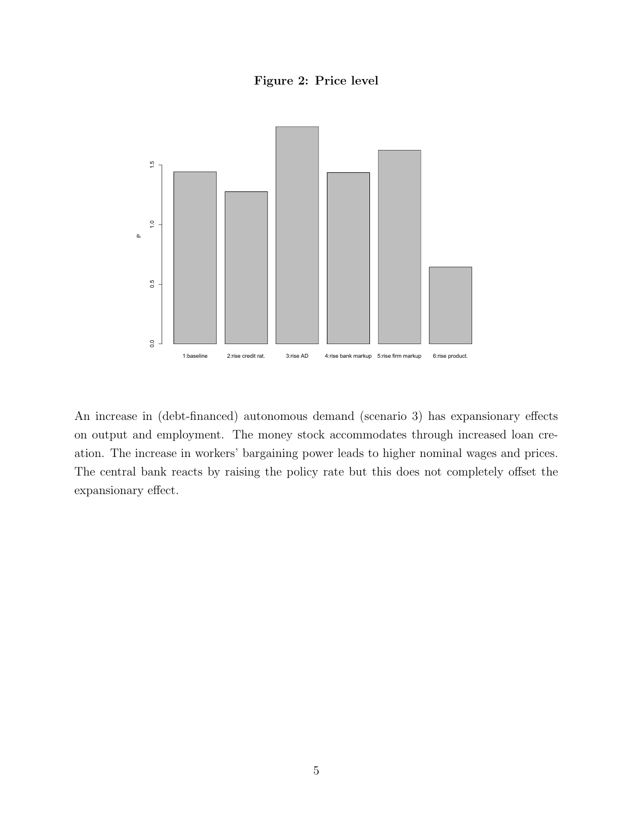Figure 2: Price level



An increase in (debt-financed) autonomous demand (scenario 3) has expansionary effects on output and employment. The money stock accommodates through increased loan creation. The increase in workers' bargaining power leads to higher nominal wages and prices. The central bank reacts by raising the policy rate but this does not completely offset the expansionary effect.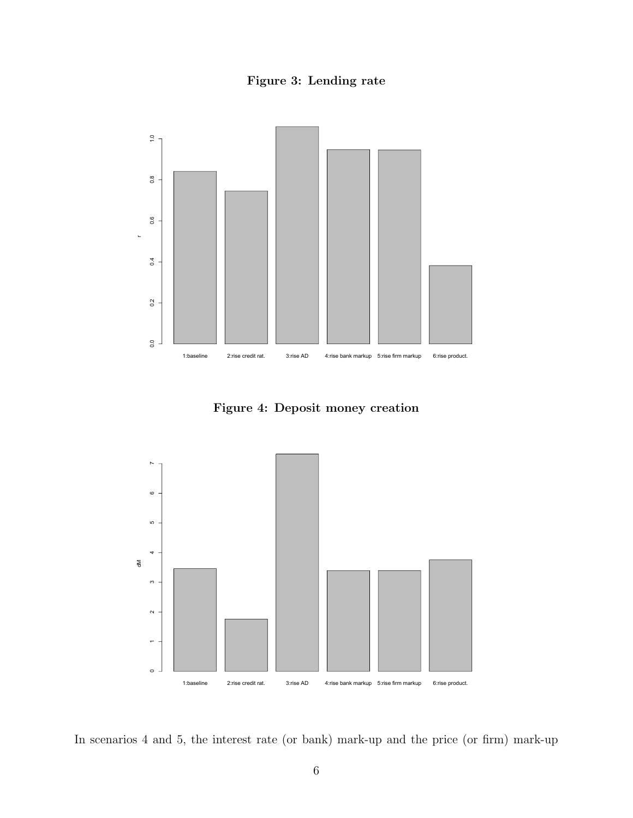Figure 3: Lending rate



Figure 4: Deposit money creation



In scenarios 4 and 5, the interest rate (or bank) mark-up and the price (or firm) mark-up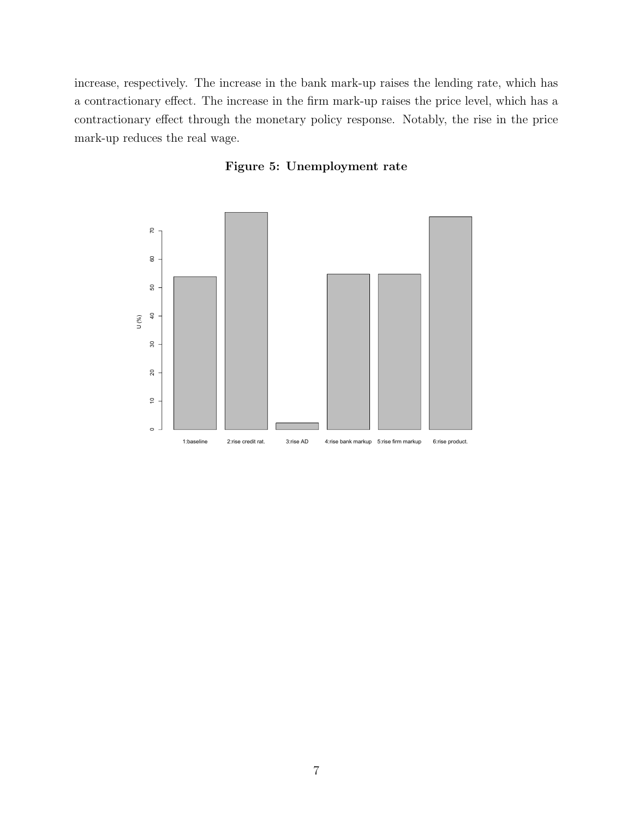increase, respectively. The increase in the bank mark-up raises the lending rate, which has a contractionary effect. The increase in the firm mark-up raises the price level, which has a contractionary effect through the monetary policy response. Notably, the rise in the price mark-up reduces the real wage.



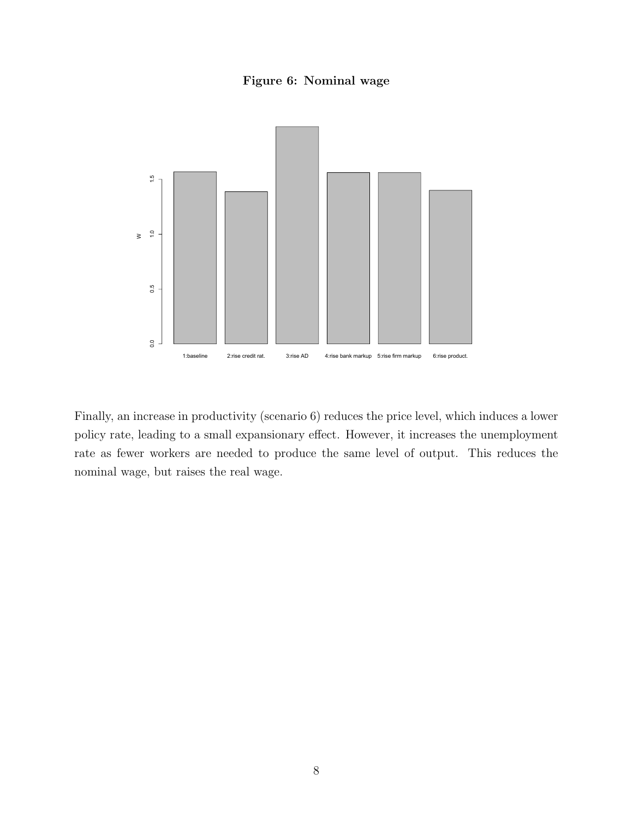#### Figure 6: Nominal wage



Finally, an increase in productivity (scenario 6) reduces the price level, which induces a lower policy rate, leading to a small expansionary effect. However, it increases the unemployment rate as fewer workers are needed to produce the same level of output. This reduces the nominal wage, but raises the real wage.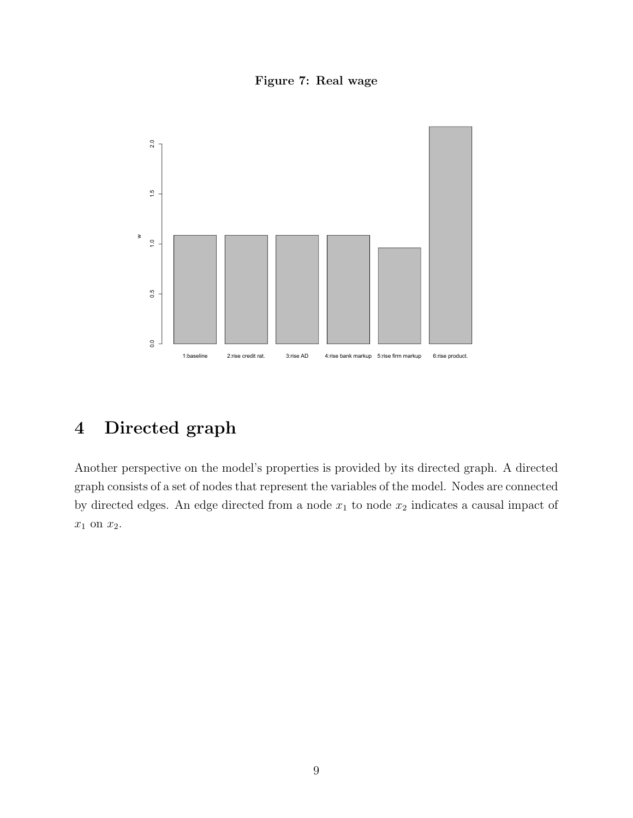Figure 7: Real wage

<span id="page-8-0"></span>

## 4 Directed graph

Another perspective on the model's properties is provided by its directed graph. A directed graph consists of a set of nodes that represent the variables of the model. Nodes are connected by directed edges. An edge directed from a node  $x_1$  to node  $x_2$  indicates a causal impact of  $x_1$  on  $x_2$ .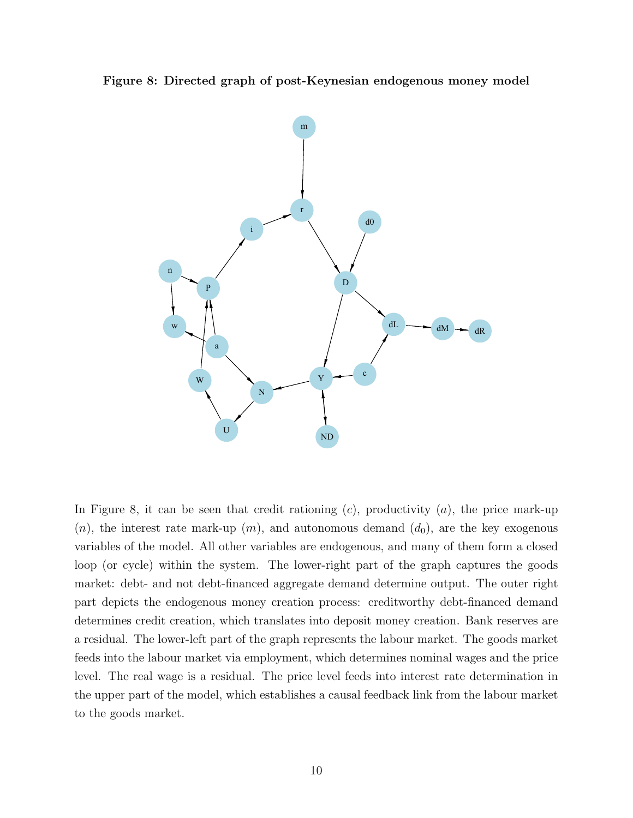<span id="page-9-0"></span>Figure 8: Directed graph of post-Keynesian endogenous money model



In Figure [8,](#page-9-0) it can be seen that credit rationing  $(c)$ , productivity  $(a)$ , the price mark-up  $(n)$ , the interest rate mark-up  $(m)$ , and autonomous demand  $(d_0)$ , are the key exogenous variables of the model. All other variables are endogenous, and many of them form a closed loop (or cycle) within the system. The lower-right part of the graph captures the goods market: debt- and not debt-financed aggregate demand determine output. The outer right part depicts the endogenous money creation process: creditworthy debt-financed demand determines credit creation, which translates into deposit money creation. Bank reserves are a residual. The lower-left part of the graph represents the labour market. The goods market feeds into the labour market via employment, which determines nominal wages and the price level. The real wage is a residual. The price level feeds into interest rate determination in the upper part of the model, which establishes a causal feedback link from the labour market to the goods market.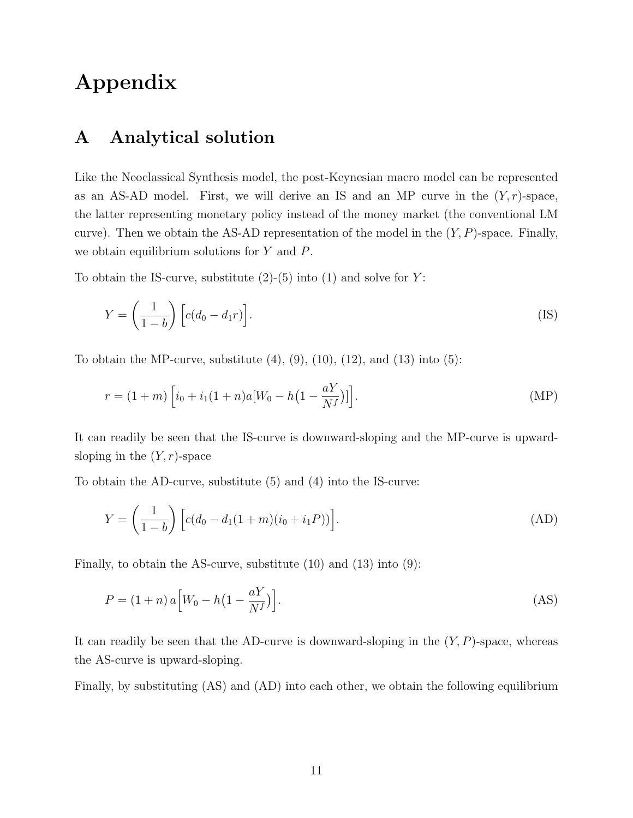## Appendix

#### A Analytical solution

Like the Neoclassical Synthesis model, the post-Keynesian macro model can be represented as an AS-AD model. First, we will derive an IS and an MP curve in the  $(Y, r)$ -space, the latter representing monetary policy instead of the money market (the conventional LM curve). Then we obtain the AS-AD representation of the model in the  $(Y, P)$ -space. Finally, we obtain equilibrium solutions for Y and P.

To obtain the IS-curve, substitute  $(2)-(5)$  $(2)-(5)$  $(2)-(5)$  into  $(1)$  and solve for Y:

$$
Y = \left(\frac{1}{1-b}\right) \left[c(d_0 - d_1 r)\right].
$$
 (IS)

To obtain the MP-curve, substitute  $(4)$ ,  $(9)$ ,  $(10)$ ,  $(12)$ , and  $(13)$  into  $(5)$ :

$$
r = (1+m)\left[i_0 + i_1(1+n)a[W_0 - h(1-\frac{aY}{N^f})]\right].
$$
 (MP)

It can readily be seen that the IS-curve is downward-sloping and the MP-curve is upwardsloping in the  $(Y, r)$ -space

To obtain the AD-curve, substitute [\(5\)](#page-1-4) and [\(4\)](#page-1-3) into the IS-curve:

<span id="page-10-1"></span>
$$
Y = \left(\frac{1}{1-b}\right) \left[c(d_0 - d_1(1+m)(i_0 + i_1P))\right].
$$
 (AD)

Finally, to obtain the AS-curve, substitute [\(10\)](#page-1-9) and [\(13\)](#page-1-12) into [\(9\)](#page-1-8):

<span id="page-10-0"></span>
$$
P = (1+n) a \left[ W_0 - h \left( 1 - \frac{aY}{N^f} \right) \right]. \tag{AS}
$$

It can readily be seen that the AD-curve is downward-sloping in the  $(Y, P)$ -space, whereas the AS-curve is upward-sloping.

Finally, by substituting [\(AS\)](#page-10-0) and [\(AD\)](#page-10-1) into each other, we obtain the following equilibrium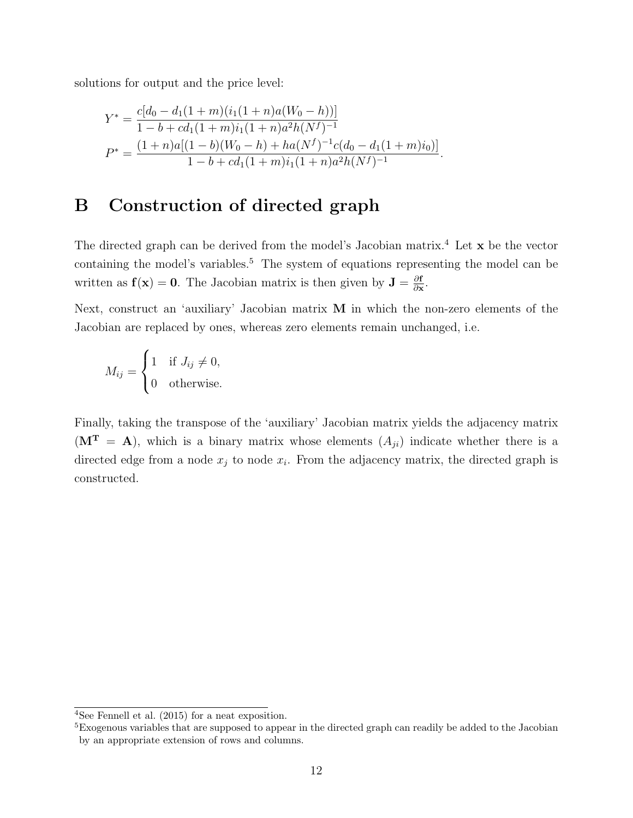solutions for output and the price level:

$$
Y^* = \frac{c[d_0 - d_1(1+m)(i_1(1+n)a(W_0 - h))]}{1 - b + cd_1(1+m)i_1(1+n)a^2h(N^f)^{-1}}
$$
  

$$
P^* = \frac{(1+n)a[(1-b)(W_0 - h) + ha(N^f)^{-1}c(d_0 - d_1(1+m)i_0)]}{1 - b + cd_1(1+m)i_1(1+n)a^2h(N^f)^{-1}}.
$$

## B Construction of directed graph

The directed graph can be derived from the model's Jacobian matrix.<sup>[4](#page-0-0)</sup> Let  $\mathbf x$  be the vector containing the model's variables.<sup>[5](#page-0-0)</sup> The system of equations representing the model can be written as  $f(x) = 0$ . The Jacobian matrix is then given by  $J = \frac{\partial f}{\partial x}$  $\frac{\partial \mathbf{f}}{\partial \mathbf{x}}$ .

Next, construct an 'auxiliary' Jacobian matrix M in which the non-zero elements of the Jacobian are replaced by ones, whereas zero elements remain unchanged, i.e.

$$
M_{ij} = \begin{cases} 1 & \text{if } J_{ij} \neq 0, \\ 0 & \text{otherwise.} \end{cases}
$$

Finally, taking the transpose of the 'auxiliary' Jacobian matrix yields the adjacency matrix  $(M<sup>T</sup> = A)$ , which is a binary matrix whose elements  $(A_{ji})$  indicate whether there is a directed edge from a node  $x_j$  to node  $x_i$ . From the adjacency matrix, the directed graph is constructed.

<sup>4</sup>See [Fennell et al.](#page-12-2) [\(2015\)](#page-12-2) for a neat exposition.

<sup>&</sup>lt;sup>5</sup>Exogenous variables that are supposed to appear in the directed graph can readily be added to the Jacobian by an appropriate extension of rows and columns.